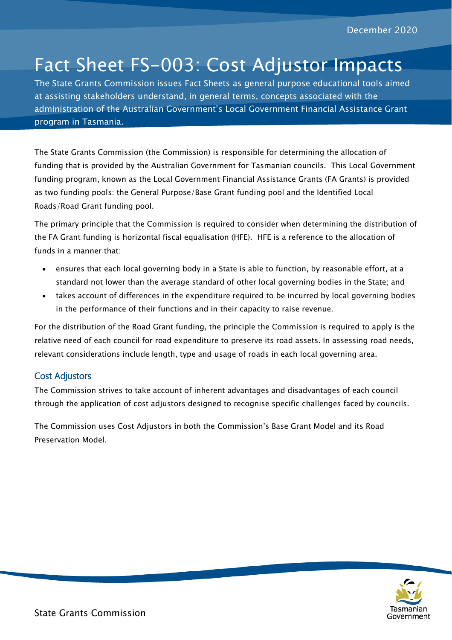# Fact Sheet FS-003: Cost Adjustor Impacts

The State Grants Commission issues Fact Sheets as general purpose educational tools aimed at assisting stakeholders understand, in general terms, concepts associated with the administration of the Australian Government's Local Government Financial Assistance Grant program in Tasmania.

The State Grants Commission (the Commission) is responsible for determining the allocation of funding that is provided by the Australian Government for Tasmanian councils. This Local Government funding program, known as the Local Government Financial Assistance Grants (FA Grants) is provided as two funding pools: the General Purpose/Base Grant funding pool and the Identified Local Roads/Road Grant funding pool.

The primary principle that the Commission is required to consider when determining the distribution of the FA Grant funding is horizontal fiscal equalisation (HFE). HFE is a reference to the allocation of funds in a manner that:

- ensures that each local governing body in a State is able to function, by reasonable effort, at a standard not lower than the average standard of other local governing bodies in the State; and
- takes account of differences in the expenditure required to be incurred by local governing bodies in the performance of their functions and in their capacity to raise revenue.

For the distribution of the Road Grant funding, the principle the Commission is required to apply is the relative need of each council for road expenditure to preserve its road assets. In assessing road needs, relevant considerations include length, type and usage of roads in each local governing area.

# Cost Adjustors

The Commission strives to take account of inherent advantages and disadvantages of each council through the application of cost adjustors designed to recognise specific challenges faced by councils.

The Commission uses Cost Adjustors in both the Commission's Base Grant Model and its Road Preservation Model.

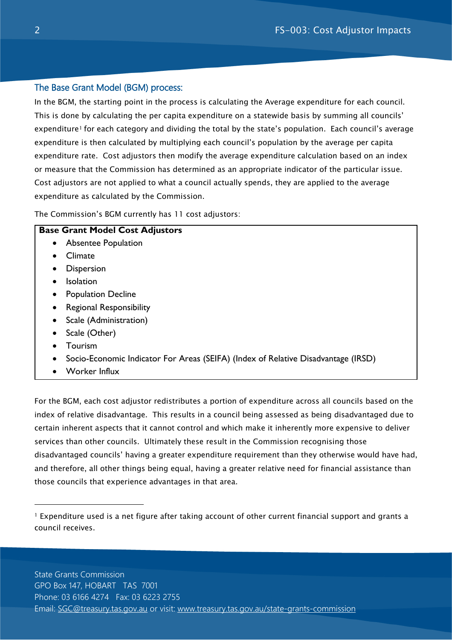# The Base Grant Model (BGM) process:

In the BGM, the starting point in the process is calculating the Average expenditure for each council. This is done by calculating the per capita expenditure on a statewide basis by summing all councils' expenditure<sup>[1](#page-1-0)</sup> for each category and dividing the total by the state's population. Each council's average expenditure is then calculated by multiplying each council's population by the average per capita expenditure rate. Cost adjustors then modify the average expenditure calculation based on an index or measure that the Commission has determined as an appropriate indicator of the particular issue. Cost adjustors are not applied to what a council actually spends, they are applied to the average expenditure as calculated by the Commission.

The Commission's BGM currently has 11 cost adjustors:

#### **Base Grant Model Cost Adjustors**

- Absentee Population
- Climate
- Dispersion
- Isolation
- Population Decline
- Regional Responsibility
- Scale (Administration)
- Scale (Other)
- Tourism

-

- Socio-Economic Indicator For Areas (SEIFA) (Index of Relative Disadvantage (IRSD)
- Worker Influx

For the BGM, each cost adjustor redistributes a portion of expenditure across all councils based on the index of relative disadvantage. This results in a council being assessed as being disadvantaged due to certain inherent aspects that it cannot control and which make it inherently more expensive to deliver services than other councils. Ultimately these result in the Commission recognising those disadvantaged councils' having a greater expenditure requirement than they otherwise would have had, and therefore, all other things being equal, having a greater relative need for financial assistance than those councils that experience advantages in that area.

<span id="page-1-0"></span><sup>1</sup> Expenditure used is a net figure after taking account of other current financial support and grants a council receives.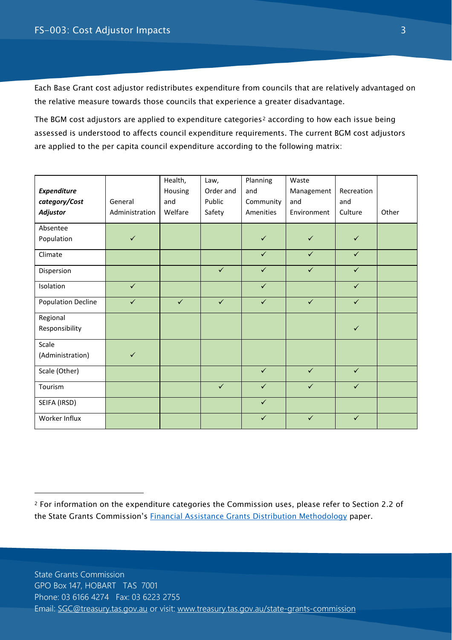-

Each Base Grant cost adjustor redistributes expenditure from councils that are relatively advantaged on the relative measure towards those councils that experience a greater disadvantage.

The BGM cost adjustors are applied to expenditure categories<sup>[2](#page-2-0)</sup> according to how each issue being assessed is understood to affects council expenditure requirements. The current BGM cost adjustors are applied to the per capita council expenditure according to the following matrix:

|                           |                | Health,      | Law,         | Planning     | Waste        |              |       |
|---------------------------|----------------|--------------|--------------|--------------|--------------|--------------|-------|
| Expenditure               |                | Housing      | Order and    | and          | Management   | Recreation   |       |
| category/Cost             | General        | and          | Public       | Community    | and          | and          |       |
| <b>Adjustor</b>           | Administration | Welfare      | Safety       | Amenities    | Environment  | Culture      | Other |
| Absentee                  |                |              |              |              |              |              |       |
| Population                | $\checkmark$   |              |              | $\checkmark$ | $\checkmark$ | $\checkmark$ |       |
| Climate                   |                |              |              | $\checkmark$ | $\checkmark$ | $\checkmark$ |       |
| Dispersion                |                |              | $\checkmark$ | $\checkmark$ | $\checkmark$ | $\checkmark$ |       |
| Isolation                 | $\checkmark$   |              |              | $\checkmark$ |              | $\checkmark$ |       |
| <b>Population Decline</b> | $\checkmark$   | $\checkmark$ | $\checkmark$ | $\checkmark$ | $\checkmark$ | $\checkmark$ |       |
| Regional                  |                |              |              |              |              |              |       |
| Responsibility            |                |              |              |              |              | $\checkmark$ |       |
| Scale                     |                |              |              |              |              |              |       |
| (Administration)          | $\checkmark$   |              |              |              |              |              |       |
| Scale (Other)             |                |              |              | $\checkmark$ | $\checkmark$ | $\checkmark$ |       |
| Tourism                   |                |              | $\checkmark$ | $\checkmark$ | $\checkmark$ | $\checkmark$ |       |
| SEIFA (IRSD)              |                |              |              | $\checkmark$ |              |              |       |
| Worker Influx             |                |              |              | $\checkmark$ | $\checkmark$ | $\checkmark$ |       |

<span id="page-2-0"></span><sup>2</sup> For information on the expenditure categories the Commission uses, please refer to Section 2.2 of the State Grants Commission's [Financial Assistance Grants Distribution Methodology](https://www.treasury.tas.gov.au/Documents/Financial%20Assistance%20Grants%20Distribution%20Methodology%20Version%204%20%2821%20Aug%202018%29.pdf) paper.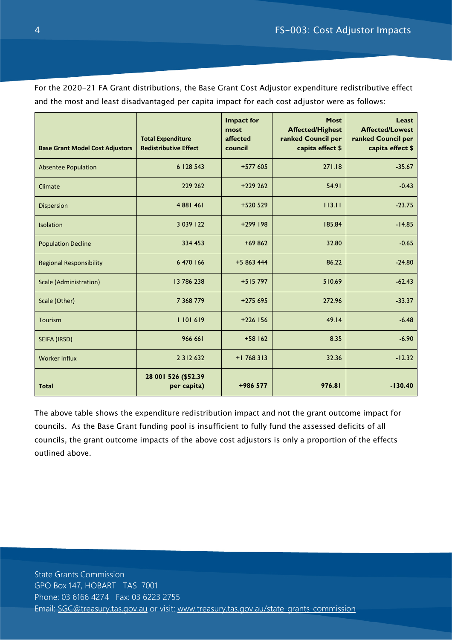For the 2020-21 FA Grant distributions, the Base Grant Cost Adjustor expenditure redistributive effect and the most and least disadvantaged per capita impact for each cost adjustor were as follows:

| <b>Base Grant Model Cost Adjustors</b> | <b>Total Expenditure</b><br><b>Redistributive Effect</b> | <b>Impact for</b><br>most<br>affected<br>council | <b>Most</b><br><b>Affected/Highest</b><br>ranked Council per<br>capita effect \$ | Least<br><b>Affected/Lowest</b><br>ranked Council per<br>capita effect \$ |
|----------------------------------------|----------------------------------------------------------|--------------------------------------------------|----------------------------------------------------------------------------------|---------------------------------------------------------------------------|
| <b>Absentee Population</b>             | 6 128 543                                                | $+577605$                                        | 271.18                                                                           | $-35.67$                                                                  |
| Climate                                | 229 262                                                  | $+229262$                                        | 54.91                                                                            | $-0.43$                                                                   |
| <b>Dispersion</b>                      | 4 881 461                                                | $+520529$                                        | 113.11                                                                           | $-23.75$                                                                  |
| <b>Isolation</b>                       | 3 0 39 1 22                                              | $+299$ 198                                       | 185.84                                                                           | $-14.85$                                                                  |
| <b>Population Decline</b>              | 334 453                                                  | $+69862$                                         | 32.80                                                                            | $-0.65$                                                                   |
| <b>Regional Responsibility</b>         | 6 470 166                                                | $+5863444$                                       | 86.22                                                                            | $-24.80$                                                                  |
| <b>Scale (Administration)</b>          | 13 786 238                                               | $+515797$                                        | 510.69                                                                           | $-62.43$                                                                  |
| Scale (Other)                          | 7 368 779                                                | $+275695$                                        | 272.96                                                                           | $-33.37$                                                                  |
| Tourism                                | 1101619                                                  | $+226$ 156                                       | 49.14                                                                            | $-6.48$                                                                   |
| SEIFA (IRSD)                           | 966 661                                                  | $+58$ 162                                        | 8.35                                                                             | $-6.90$                                                                   |
| <b>Worker Influx</b>                   | 2 3 1 2 6 3 2                                            | $+1$ 768 313                                     | 32.36                                                                            | $-12.32$                                                                  |
| <b>Total</b>                           | 28 001 526 (\$52.39<br>per capita)                       | +986 577                                         | 976.81                                                                           | $-130.40$                                                                 |

The above table shows the expenditure redistribution impact and not the grant outcome impact for councils. As the Base Grant funding pool is insufficient to fully fund the assessed deficits of all councils, the grant outcome impacts of the above cost adjustors is only a proportion of the effects outlined above.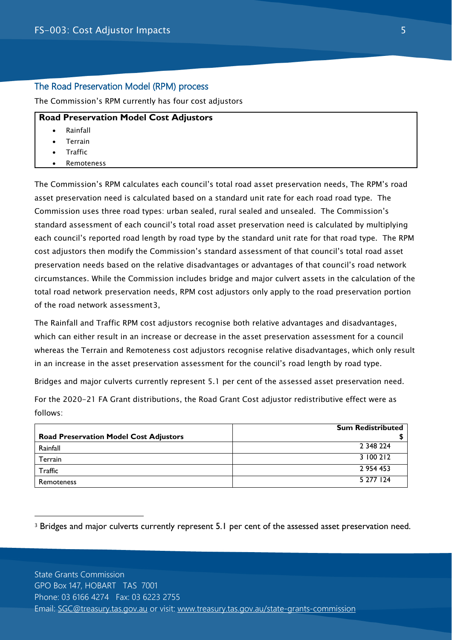## The Road Preservation Model (RPM) process

The Commission's RPM currently has four cost adjustors

## **Road Preservation Model Cost Adjustors**

- **Rainfall**
- **Terrain**
- Traffic

-

**Remoteness** 

The Commission's RPM calculates each council's total road asset preservation needs, The RPM's road asset preservation need is calculated based on a standard unit rate for each road road type. The Commission uses three road types: urban sealed, rural sealed and unsealed. The Commission's standard assessment of each council's total road asset preservation need is calculated by multiplying each council's reported road length by road type by the standard unit rate for that road type. The RPM cost adjustors then modify the Commission's standard assessment of that council's total road asset preservation needs based on the relative disadvantages or advantages of that council's road network circumstances. While the Commission includes bridge and major culvert assets in the calculation of the total road network preservation needs, RPM cost adjustors only apply to the road preservation portion of the road network assessment[3,](#page-4-0)

The Rainfall and Traffic RPM cost adjustors recognise both relative advantages and disadvantages, which can either result in an increase or decrease in the asset preservation assessment for a council whereas the Terrain and Remoteness cost adjustors recognise relative disadvantages, which only result in an increase in the asset preservation assessment for the council's road length by road type.

Bridges and major culverts currently represent 5.1 per cent of the assessed asset preservation need.

For the 2020-21 FA Grant distributions, the Road Grant Cost adjustor redistributive effect were as follows:

|                                               | <b>Sum Redistributed</b> |
|-----------------------------------------------|--------------------------|
| <b>Road Preservation Model Cost Adjustors</b> |                          |
| Rainfall                                      | 2 348 224                |
| Terrain                                       | 3 100 212                |
| Traffic                                       | 2 954 453                |
| Remoteness                                    | 5 277 124                |

<span id="page-4-0"></span><sup>3</sup> Bridges and major culverts currently represent 5.1 per cent of the assessed asset preservation need.